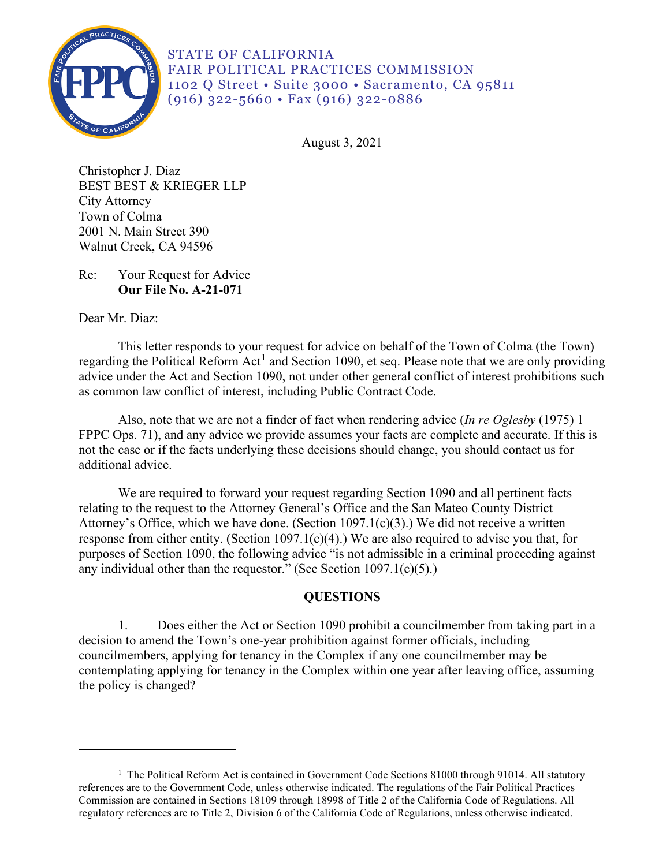

STATE OF CALIFORNIA FAIR POLITICAL PRACTICES COMMISSION 1102 Q Street • Suite 3000 • Sacramento, CA 95811 (916) 322-5660 • Fax (916) 322-0886

August 3, 2021

Christopher J. Diaz BEST BEST & KRIEGER LLP City Attorney Town of Colma 2001 N. Main Street 390 Walnut Creek, CA 94596

Re: Your Request for Advice **Our File No. A-21-071** 

Dear Mr. Diaz:

This letter responds to your request for advice on behalf of the Town of Colma (the Town) regarding the Political Reform Act<sup>[1](#page-0-0)</sup> and Section 1090, et seq. Please note that we are only providing advice under the Act and Section 1090, not under other general conflict of interest prohibitions such as common law conflict of interest, including Public Contract Code.

 FPPC Ops. 71), and any advice we provide assumes your facts are complete and accurate. If this is Also, note that we are not a finder of fact when rendering advice (*In re Oglesby* (1975) 1 not the case or if the facts underlying these decisions should change, you should contact us for additional advice.

 Attorney's Office, which we have done. (Section 1097.1(c)(3).) We did not receive a written We are required to forward your request regarding Section 1090 and all pertinent facts relating to the request to the Attorney General's Office and the San Mateo County District response from either entity. (Section 1097.1(c)(4).) We are also required to advise you that, for purposes of Section 1090, the following advice "is not admissible in a criminal proceeding against any individual other than the requestor." (See Section 1097.1(c)(5).)

# **QUESTIONS**

1. Does either the Act or Section 1090 prohibit a councilmember from taking part in a decision to amend the Town's one-year prohibition against former officials, including councilmembers, applying for tenancy in the Complex if any one councilmember may be contemplating applying for tenancy in the Complex within one year after leaving office, assuming the policy is changed?

<span id="page-0-0"></span><sup>&</sup>lt;sup>1</sup> The Political Reform Act is contained in Government Code Sections 81000 through 91014. All statutory references are to the Government Code, unless otherwise indicated. The regulations of the Fair Political Practices Commission are contained in Sections 18109 through 18998 of Title 2 of the California Code of Regulations. All regulatory references are to Title 2, Division 6 of the California Code of Regulations, unless otherwise indicated.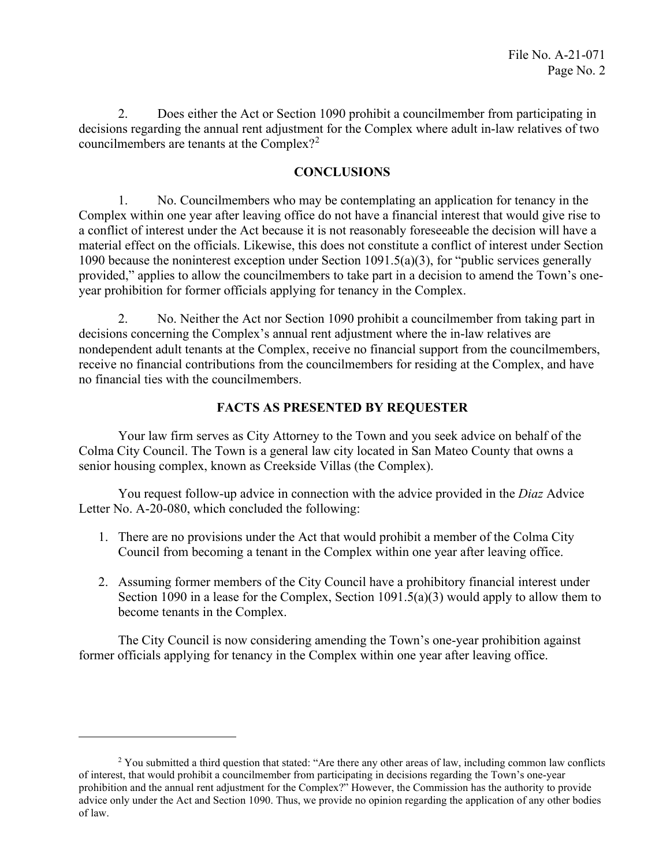2. Does either the Act or Section 1090 prohibit a councilmember from participating in decisions regarding the annual rent adjustment for the Complex where adult in-law relatives of two councilmembers are tenants at the Complex?<sup>[2](#page-1-0)</sup>

### **CONCLUSIONS**

 a conflict of interest under the Act because it is not reasonably foreseeable the decision will have a 1. No. Councilmembers who may be contemplating an application for tenancy in the Complex within one year after leaving office do not have a financial interest that would give rise to material effect on the officials. Likewise, this does not constitute a conflict of interest under Section 1090 because the noninterest exception under Section 1091.5(a)(3), for "public services generally provided," applies to allow the councilmembers to take part in a decision to amend the Town's oneyear prohibition for former officials applying for tenancy in the Complex.

 2. No. Neither the Act nor Section 1090 prohibit a councilmember from taking part in decisions concerning the Complex's annual rent adjustment where the in-law relatives are nondependent adult tenants at the Complex, receive no financial support from the councilmembers, receive no financial contributions from the councilmembers for residing at the Complex, and have no financial ties with the councilmembers.

### **FACTS AS PRESENTED BY REQUESTER**

Your law firm serves as City Attorney to the Town and you seek advice on behalf of the Colma City Council. The Town is a general law city located in San Mateo County that owns a senior housing complex, known as Creekside Villas (the Complex).

 You request follow-up advice in connection with the advice provided in the *Diaz* Advice Letter No. A-20-080, which concluded the following:

- 1. There are no provisions under the Act that would prohibit a member of the Colma City Council from becoming a tenant in the Complex within one year after leaving office.
- 2. Assuming former members of the City Council have a prohibitory financial interest under Section 1090 in a lease for the Complex, Section 1091.5(a)(3) would apply to allow them to become tenants in the Complex.

 former officials applying for tenancy in the Complex within one year after leaving office. The City Council is now considering amending the Town's one-year prohibition against

<span id="page-1-0"></span><sup>&</sup>lt;sup>2</sup> You submitted a third question that stated: "Are there any other areas of law, including common law conflicts of interest, that would prohibit a councilmember from participating in decisions regarding the Town's one-year prohibition and the annual rent adjustment for the Complex?" However, the Commission has the authority to provide advice only under the Act and Section 1090. Thus, we provide no opinion regarding the application of any other bodies of law.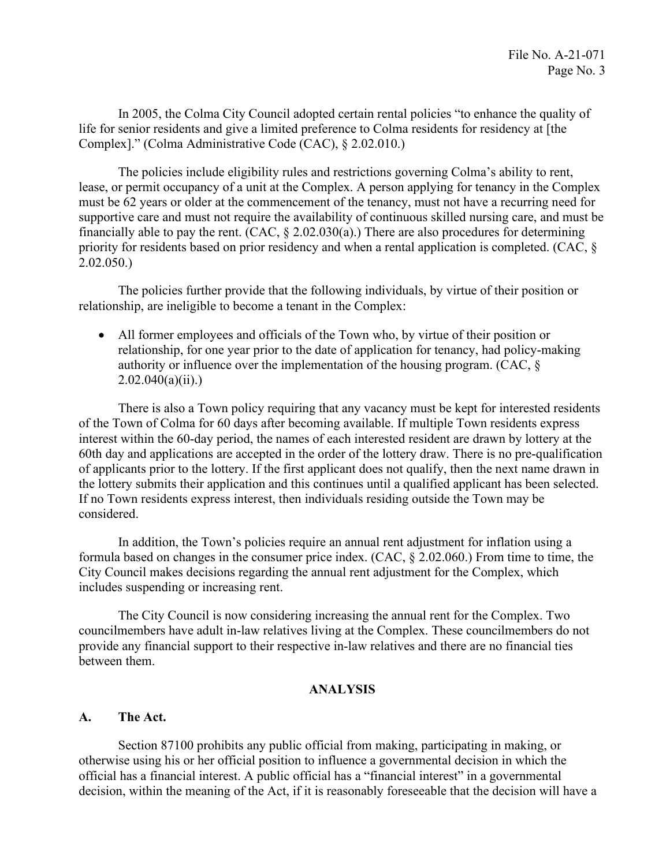Complex]." (Colma Administrative Code (CAC), § 2.02.010.) In 2005, the Colma City Council adopted certain rental policies "to enhance the quality of life for senior residents and give a limited preference to Colma residents for residency at [the

financially able to pay the rent.  $(CAC, \S 2.02.030(a))$  There are also procedures for determining The policies include eligibility rules and restrictions governing Colma's ability to rent, lease, or permit occupancy of a unit at the Complex. A person applying for tenancy in the Complex must be 62 years or older at the commencement of the tenancy, must not have a recurring need for supportive care and must not require the availability of continuous skilled nursing care, and must be priority for residents based on prior residency and when a rental application is completed. (CAC, § 2.02.050.)

The policies further provide that the following individuals, by virtue of their position or relationship, are ineligible to become a tenant in the Complex:

• All former employees and officials of the Town who, by virtue of their position or relationship, for one year prior to the date of application for tenancy, had policy-making authority or influence over the implementation of the housing program. (CAC, §  $2.02.040(a)(ii)$ .)

There is also a Town policy requiring that any vacancy must be kept for interested residents of the Town of Colma for 60 days after becoming available. If multiple Town residents express interest within the 60-day period, the names of each interested resident are drawn by lottery at the 60th day and applications are accepted in the order of the lottery draw. There is no pre-qualification of applicants prior to the lottery. If the first applicant does not qualify, then the next name drawn in the lottery submits their application and this continues until a qualified applicant has been selected. If no Town residents express interest, then individuals residing outside the Town may be considered.

 In addition, the Town's policies require an annual rent adjustment for inflation using a formula based on changes in the consumer price index. (CAC, § 2.02.060.) From time to time, the City Council makes decisions regarding the annual rent adjustment for the Complex, which includes suspending or increasing rent.

The City Council is now considering increasing the annual rent for the Complex. Two councilmembers have adult in-law relatives living at the Complex. These councilmembers do not provide any financial support to their respective in-law relatives and there are no financial ties between them.

### **ANALYSIS**

### **A. The Act.**

Section 87100 prohibits any public official from making, participating in making, or otherwise using his or her official position to influence a governmental decision in which the official has a financial interest. A public official has a "financial interest" in a governmental decision, within the meaning of the Act, if it is reasonably foreseeable that the decision will have a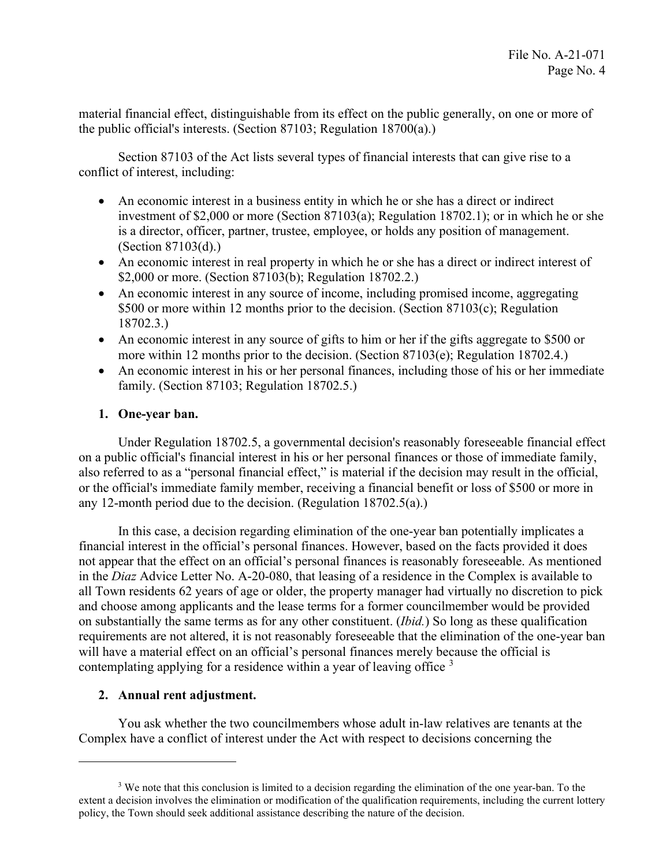material financial effect, distinguishable from its effect on the public generally, on one or more of the public official's interests. (Section 87103; Regulation 18700(a).)

Section 87103 of the Act lists several types of financial interests that can give rise to a conflict of interest, including:

- An economic interest in a business entity in which he or she has a direct or indirect investment of \$2,000 or more (Section 87103(a); Regulation 18702.1); or in which he or she is a director, officer, partner, trustee, employee, or holds any position of management. (Section 87103(d).)
- An economic interest in real property in which he or she has a direct or indirect interest of \$2,000 or more. (Section 87103(b); Regulation 18702.2.)
- An economic interest in any source of income, including promised income, aggregating \$500 or more within 12 months prior to the decision. (Section 87103(c); Regulation 18702.3.)
- An economic interest in any source of gifts to him or her if the gifts aggregate to \$500 or more within 12 months prior to the decision. (Section 87103(e); Regulation 18702.4.)
- family. (Section 87103; Regulation 18702.5.) • An economic interest in his or her personal finances, including those of his or her immediate

## **1. One-year ban.**

any 12-month period due to the decision. (Regulation  $18702.5(a)$ .) Under Regulation 18702.5, a governmental decision's reasonably foreseeable financial effect on a public official's financial interest in his or her personal finances or those of immediate family, also referred to as a "personal financial effect," is material if the decision may result in the official, or the official's immediate family member, receiving a financial benefit or loss of \$500 or more in

contemplating applying for a residence within a year of leaving office  $3$ In this case, a decision regarding elimination of the one-year ban potentially implicates a financial interest in the official's personal finances. However, based on the facts provided it does not appear that the effect on an official's personal finances is reasonably foreseeable. As mentioned in the *Diaz* Advice Letter No. A-20-080, that leasing of a residence in the Complex is available to all Town residents 62 years of age or older, the property manager had virtually no discretion to pick and choose among applicants and the lease terms for a former councilmember would be provided on substantially the same terms as for any other constituent. (*Ibid.*) So long as these qualification requirements are not altered, it is not reasonably foreseeable that the elimination of the one-year ban will have a material effect on an official's personal finances merely because the official is

## **2. Annual rent adjustment.**

 You ask whether the two councilmembers whose adult in-law relatives are tenants at the Complex have a conflict of interest under the Act with respect to decisions concerning the

<span id="page-3-0"></span><sup>&</sup>lt;sup>3</sup> We note that this conclusion is limited to a decision regarding the elimination of the one year-ban. To the extent a decision involves the elimination or modification of the qualification requirements, including the current lottery policy, the Town should seek additional assistance describing the nature of the decision.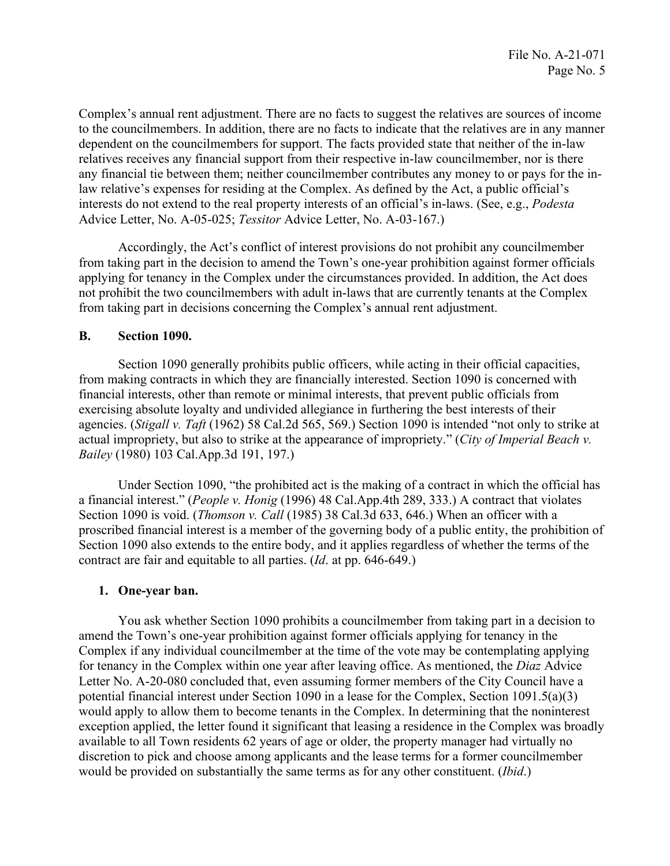Complex's annual rent adjustment. There are no facts to suggest the relatives are sources of income relatives receives any financial support from their respective in-law councilmember, nor is there Advice Letter, No. A-05-025; Tessitor Advice Letter, No. A-03-167.) to the councilmembers. In addition, there are no facts to indicate that the relatives are in any manner dependent on the councilmembers for support. The facts provided state that neither of the in-law any financial tie between them; neither councilmember contributes any money to or pays for the inlaw relative's expenses for residing at the Complex. As defined by the Act, a public official's interests do not extend to the real property interests of an official's in-laws. (See, e.g., *Podesta* 

Accordingly, the Act's conflict of interest provisions do not prohibit any councilmember from taking part in the decision to amend the Town's one-year prohibition against former officials applying for tenancy in the Complex under the circumstances provided. In addition, the Act does not prohibit the two councilmembers with adult in-laws that are currently tenants at the Complex from taking part in decisions concerning the Complex's annual rent adjustment.

### **B. Section 1090.**

Section 1090 generally prohibits public officers, while acting in their official capacities, from making contracts in which they are financially interested. Section 1090 is concerned with financial interests, other than remote or minimal interests, that prevent public officials from exercising absolute loyalty and undivided allegiance in furthering the best interests of their agencies. (*Stigall v. Taft* (1962) 58 Cal.2d 565, 569.) Section 1090 is intended "not only to strike at actual impropriety, but also to strike at the appearance of impropriety." (*City of Imperial Beach v. Bailey* (1980) 103 [Cal.App.3d](https://Cal.App.3d) 191, 197.)

Under Section 1090, "the prohibited act is the making of a contract in which the official has a financial interest." (*People v. Honig* (1996) 48 Cal.App.4th 289, 333.) A contract that violates Section 1090 is void. (*Thomson v. Call* (1985) 38 Cal.3d 633, 646.) When an officer with a proscribed financial interest is a member of the governing body of a public entity, the prohibition of Section 1090 also extends to the entire body, and it applies regardless of whether the terms of the contract are fair and equitable to all parties. (*Id*. at pp. 646-649.)

### **1. One-year ban.**

 for tenancy in the Complex within one year after leaving office. As mentioned, the *Diaz* Advice available to all Town residents 62 years of age or older, the property manager had virtually no would be provided on substantially the same terms as for any other constituent. (*Ibid*.) You ask whether Section 1090 prohibits a councilmember from taking part in a decision to amend the Town's one-year prohibition against former officials applying for tenancy in the Complex if any individual councilmember at the time of the vote may be contemplating applying Letter No. A-20-080 concluded that, even assuming former members of the City Council have a potential financial interest under Section 1090 in a lease for the Complex, Section 1091.5(a)(3) would apply to allow them to become tenants in the Complex. In determining that the noninterest exception applied, the letter found it significant that leasing a residence in the Complex was broadly discretion to pick and choose among applicants and the lease terms for a former councilmember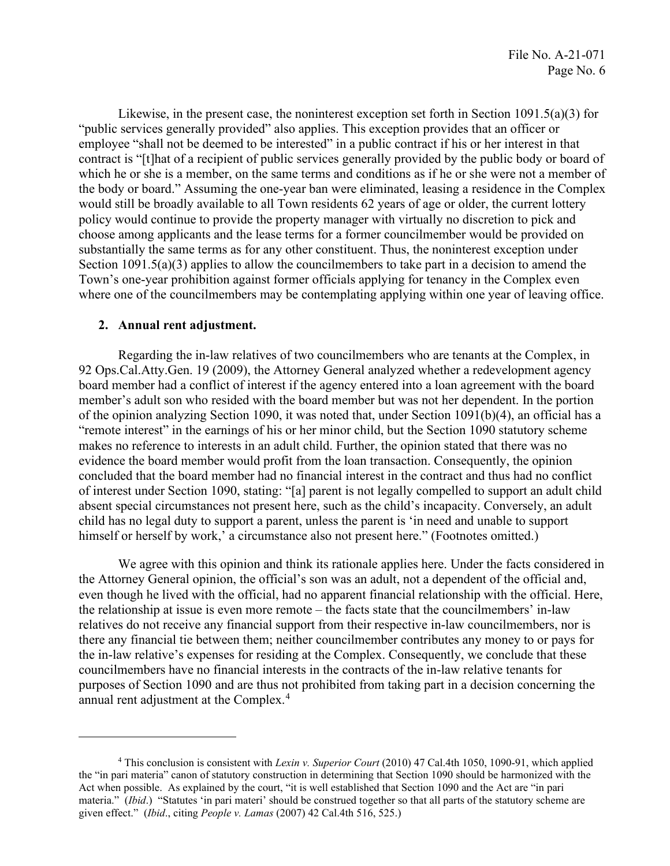"public services generally provided" also applies. This exception provides that an officer or Likewise, in the present case, the noninterest exception set forth in Section 1091.5(a)(3) for employee "shall not be deemed to be interested" in a public contract if his or her interest in that contract is "[t]hat of a recipient of public services generally provided by the public body or board of which he or she is a member, on the same terms and conditions as if he or she were not a member of the body or board." Assuming the one-year ban were eliminated, leasing a residence in the Complex would still be broadly available to all Town residents 62 years of age or older, the current lottery policy would continue to provide the property manager with virtually no discretion to pick and choose among applicants and the lease terms for a former councilmember would be provided on substantially the same terms as for any other constituent. Thus, the noninterest exception under Section 1091.5(a)(3) applies to allow the councilmembers to take part in a decision to amend the Town's one-year prohibition against former officials applying for tenancy in the Complex even where one of the councilmembers may be contemplating applying within one year of leaving office.

#### **2. Annual rent adjustment.**

himself or herself by work,' a circumstance also not present here." (Footnotes omitted.) Regarding the in-law relatives of two councilmembers who are tenants at the Complex, in 92 Ops.Cal.Atty.Gen. 19 (2009), the Attorney General analyzed whether a redevelopment agency board member had a conflict of interest if the agency entered into a loan agreement with the board member's adult son who resided with the board member but was not her dependent. In the portion of the opinion analyzing Section 1090, it was noted that, under Section 1091(b)(4), an official has a "remote interest" in the earnings of his or her minor child, but the Section 1090 statutory scheme makes no reference to interests in an adult child. Further, the opinion stated that there was no evidence the board member would profit from the loan transaction. Consequently, the opinion concluded that the board member had no financial interest in the contract and thus had no conflict of interest under Section 1090, stating: "[a] parent is not legally compelled to support an adult child absent special circumstances not present here, such as the child's incapacity. Conversely, an adult child has no legal duty to support a parent, unless the parent is 'in need and unable to support

 the in-law relative's expenses for residing at the Complex. Consequently, we conclude that these councilmembers have no financial interests in the contracts of the in-law relative tenants for annual rent adjustment at the Complex.<sup>[4](#page-5-0)</sup> We agree with this opinion and think its rationale applies here. Under the facts considered in the Attorney General opinion, the official's son was an adult, not a dependent of the official and, even though he lived with the official, had no apparent financial relationship with the official. Here, the relationship at issue is even more remote – the facts state that the councilmembers' in-law relatives do not receive any financial support from their respective in-law councilmembers, nor is there any financial tie between them; neither councilmember contributes any money to or pays for purposes of Section 1090 and are thus not prohibited from taking part in a decision concerning the

<span id="page-5-0"></span><sup>4</sup> This conclusion is consistent with *Lexin v. Superior Court* (2010) 47 Cal.4th 1050, 1090-91, which applied the "in pari materia" canon of statutory construction in determining that Section 1090 should be harmonized with the Act when possible. As explained by the court, "it is well established that Section 1090 and the Act are "in pari materia." (*Ibid*.) "Statutes 'in pari materi' should be construed together so that all parts of the statutory scheme are given effect." (*Ibid*., citing *People v. Lamas* (2007) 42 Cal.4th 516, 525.)